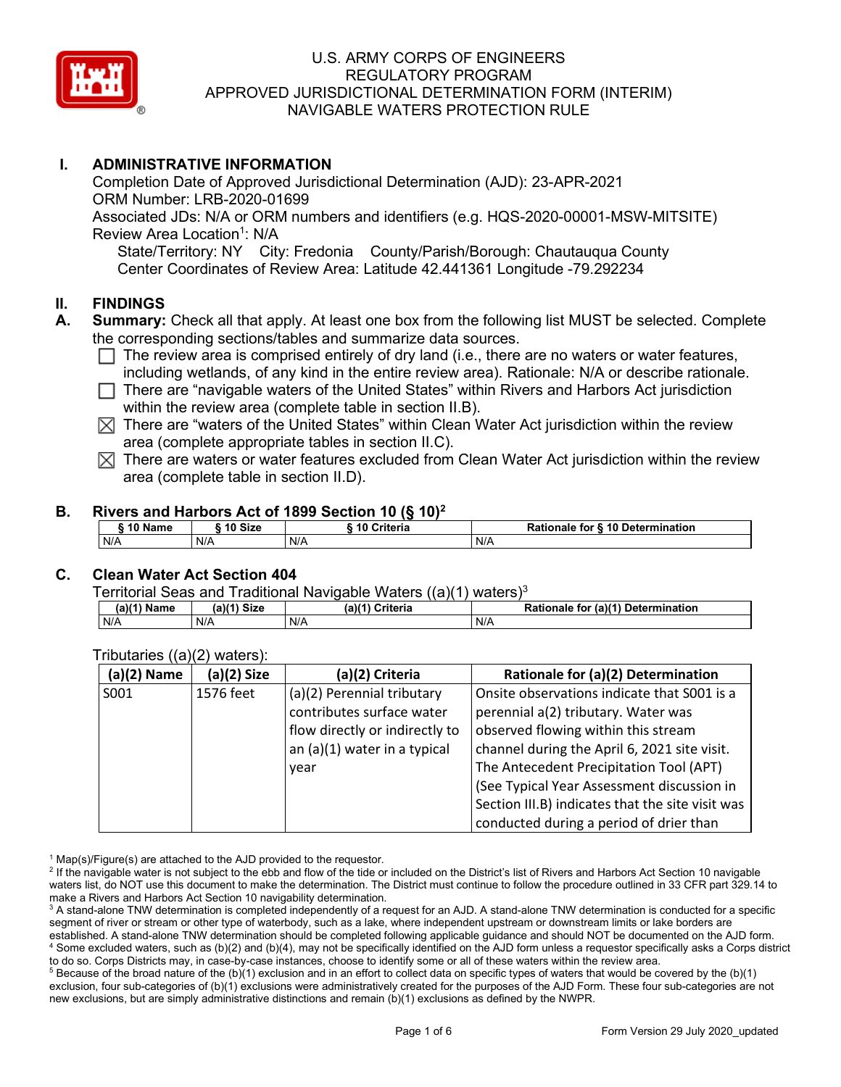

## **I. ADMINISTRATIVE INFORMATION**

Completion Date of Approved Jurisdictional Determination (AJD): 23-APR-2021 ORM Number: LRB-2020-01699 Associated JDs: N/A or ORM numbers and identifiers (e.g. HQS-2020-00001-MSW-MITSITE) Review Area Location<sup>1</sup>: N/A State/Territory: NY City: Fredonia County/Parish/Borough: Chautauqua County Center Coordinates of Review Area: Latitude 42.441361 Longitude -79.292234

#### **II. FINDINGS**

- **A. Summary:** Check all that apply. At least one box from the following list MUST be selected. Complete the corresponding sections/tables and summarize data sources.
	- $\Box$  The review area is comprised entirely of dry land (i.e., there are no waters or water features, including wetlands, of any kind in the entire review area). Rationale: N/A or describe rationale.
	- $\Box$  There are "navigable waters of the United States" within Rivers and Harbors Act jurisdiction within the review area (complete table in section II.B).
	- $\boxtimes$  There are "waters of the United States" within Clean Water Act jurisdiction within the review area (complete appropriate tables in section II.C).
	- $\boxtimes$  There are waters or water features excluded from Clean Water Act jurisdiction within the review area (complete table in section II.D).

#### **B. Rivers and Harbors Act of 1899 Section 10 (§ 10)2**

| 10 Name | ົ <sup>1</sup> 0 Size | Criteria<br>$\sqrt{2}$ | ↑ for § 10 Determination<br>Rationale |
|---------|-----------------------|------------------------|---------------------------------------|
| N/A     | N/F                   | N/A                    | N/A                                   |

## **C. Clean Water Act Section 404**

Territorial Seas and Traditional Navigable Waters  $((a)(1)$  waters)<sup>3</sup>

| (a)(1) Name | (a)(1) Size | $(a)$ <sup><math>\prime</math></sup><br>1) Criteria | (a)(1) Determination<br><b>Rationale</b><br>for |
|-------------|-------------|-----------------------------------------------------|-------------------------------------------------|
| N/A         | N/A         | N/A                                                 | $N/\ell$                                        |

| $(a)(2)$ Name | (a)(2) Size | (a)(2) Criteria                | Rationale for (a)(2) Determination               |
|---------------|-------------|--------------------------------|--------------------------------------------------|
| S001          | 1576 feet   | (a)(2) Perennial tributary     | Onsite observations indicate that S001 is a      |
|               |             | contributes surface water      | perennial a(2) tributary. Water was              |
|               |             | flow directly or indirectly to | observed flowing within this stream              |
|               |             | an (a)(1) water in a typical   | channel during the April 6, 2021 site visit.     |
|               |             | year                           | The Antecedent Precipitation Tool (APT)          |
|               |             |                                | (See Typical Year Assessment discussion in       |
|               |             |                                | Section III.B) indicates that the site visit was |
|               |             |                                | conducted during a period of drier than          |

#### Tributaries ((a)(2) waters):

 $1$  Map(s)/Figure(s) are attached to the AJD provided to the requestor.

 $5$  Because of the broad nature of the (b)(1) exclusion and in an effort to collect data on specific types of waters that would be covered by the (b)(1) exclusion, four sub-categories of (b)(1) exclusions were administratively created for the purposes of the AJD Form. These four sub-categories are not new exclusions, but are simply administrative distinctions and remain (b)(1) exclusions as defined by the NWPR.

<sup>&</sup>lt;sup>2</sup> If the navigable water is not subject to the ebb and flow of the tide or included on the District's list of Rivers and Harbors Act Section 10 navigable waters list, do NOT use this document to make the determination. The District must continue to follow the procedure outlined in 33 CFR part 329.14 to make a Rivers and Harbors Act Section 10 navigability determination.

<sup>&</sup>lt;sup>3</sup> A stand-alone TNW determination is completed independently of a request for an AJD. A stand-alone TNW determination is conducted for a specific segment of river or stream or other type of waterbody, such as a lake, where independent upstream or downstream limits or lake borders are established. A stand-alone TNW determination should be completed following applicable guidance and should NOT be documented on the AJD form. <sup>4</sup> Some excluded waters, such as (b)(2) and (b)(4), may not be specifically identified on the AJD form unless a requestor specifically asks a Corps district to do so. Corps Districts may, in case-by-case instances, choose to identify some or all of these waters within the review area.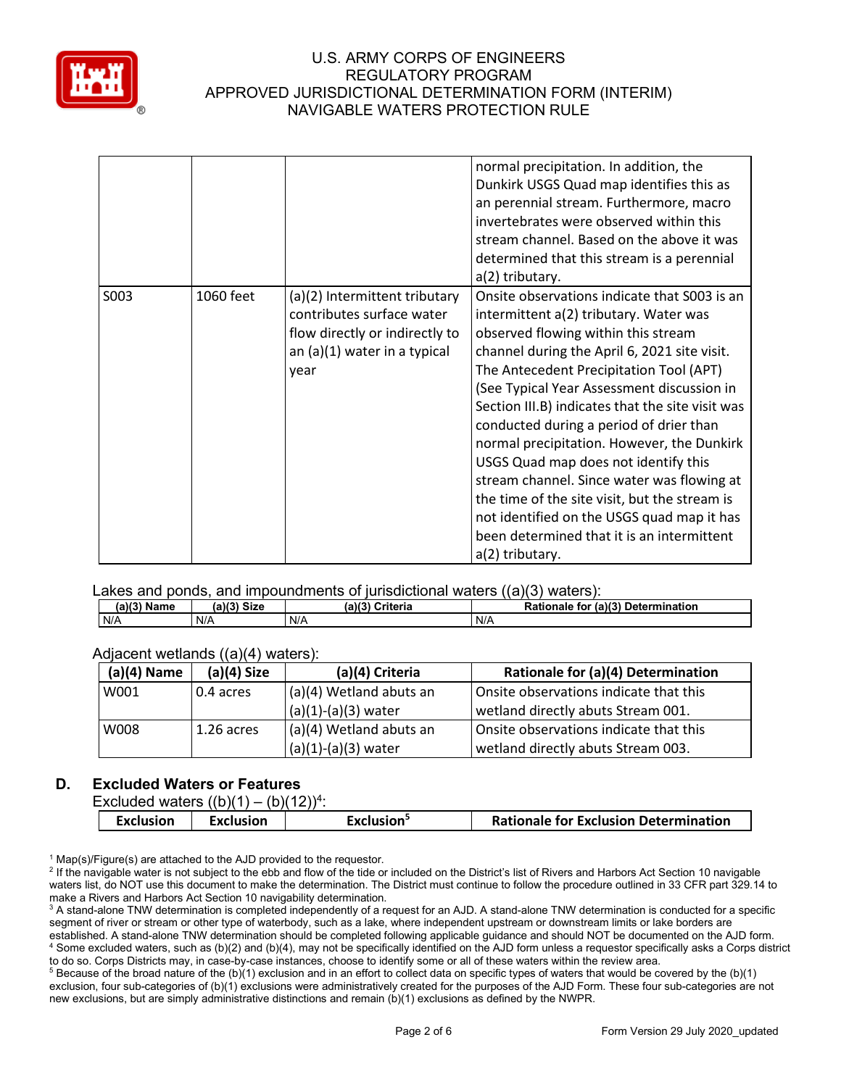

|      |           |                                                                                                                                        | normal precipitation. In addition, the<br>Dunkirk USGS Quad map identifies this as<br>an perennial stream. Furthermore, macro<br>invertebrates were observed within this<br>stream channel. Based on the above it was<br>determined that this stream is a perennial<br>a(2) tributary.                                                                                                                                                                                                                                                                                                                                                                                    |
|------|-----------|----------------------------------------------------------------------------------------------------------------------------------------|---------------------------------------------------------------------------------------------------------------------------------------------------------------------------------------------------------------------------------------------------------------------------------------------------------------------------------------------------------------------------------------------------------------------------------------------------------------------------------------------------------------------------------------------------------------------------------------------------------------------------------------------------------------------------|
| S003 | 1060 feet | (a)(2) Intermittent tributary<br>contributes surface water<br>flow directly or indirectly to<br>an $(a)(1)$ water in a typical<br>year | Onsite observations indicate that S003 is an<br>intermittent a(2) tributary. Water was<br>observed flowing within this stream<br>channel during the April 6, 2021 site visit.<br>The Antecedent Precipitation Tool (APT)<br>(See Typical Year Assessment discussion in<br>Section III.B) indicates that the site visit was<br>conducted during a period of drier than<br>normal precipitation. However, the Dunkirk<br>USGS Quad map does not identify this<br>stream channel. Since water was flowing at<br>the time of the site visit, but the stream is<br>not identified on the USGS quad map it has<br>been determined that it is an intermittent<br>a(2) tributary. |

#### Lakes and ponds, and impoundments of jurisdictional waters ((a)(3) waters):

| (2)<br>. .<br>Name<br><b>ully</b> | <b>Size</b><br>(a)(3) | (a)(3)<br>Criteria | (a)(3) Determination<br><b>Rationale</b><br>for |
|-----------------------------------|-----------------------|--------------------|-------------------------------------------------|
| N/A                               | N/A                   | N/f                | N/A                                             |

#### Adjacent wetlands ((a)(4) waters):

| $(a)(4)$ Name | $(a)(4)$ Size | (a)(4) Criteria           | Rationale for (a)(4) Determination     |
|---------------|---------------|---------------------------|----------------------------------------|
| W001          | 0.4 acres     | (a)(4) Wetland abuts an   | Onsite observations indicate that this |
|               |               | $(a)(1)-(a)(3)$ water     | wetland directly abuts Stream 001.     |
| W008          | $1.26$ acres  | $(a)(4)$ Wetland abuts an | Onsite observations indicate that this |
|               |               | $(a)(1)-(a)(3)$ water     | wetland directly abuts Stream 003.     |

### **D. Excluded Waters or Features**

Excluded waters  $((b)(1) - (b)(12))^4$ :

| <b>Rationale for Exclusion Determination</b><br><b>Exclusion</b><br><b>Exclusion</b><br>Exclusion <sup>5</sup> |
|----------------------------------------------------------------------------------------------------------------|
|----------------------------------------------------------------------------------------------------------------|

 $1$  Map(s)/Figure(s) are attached to the AJD provided to the requestor.

<sup>2</sup> If the navigable water is not subject to the ebb and flow of the tide or included on the District's list of Rivers and Harbors Act Section 10 navigable waters list, do NOT use this document to make the determination. The District must continue to follow the procedure outlined in 33 CFR part 329.14 to make a Rivers and Harbors Act Section 10 navigability determination.

<sup>3</sup> A stand-alone TNW determination is completed independently of a request for an AJD. A stand-alone TNW determination is conducted for a specific segment of river or stream or other type of waterbody, such as a lake, where independent upstream or downstream limits or lake borders are established. A stand-alone TNW determination should be completed following applicable guidance and should NOT be documented on the AJD form. <sup>4</sup> Some excluded waters, such as (b)(2) and (b)(4), may not be specifically identified on the AJD form unless a requestor specifically asks a Corps district to do so. Corps Districts may, in case-by-case instances, choose to identify some or all of these waters within the review area.

<sup>5</sup> Because of the broad nature of the (b)(1) exclusion and in an effort to collect data on specific types of waters that would be covered by the (b)(1) exclusion, four sub-categories of (b)(1) exclusions were administratively created for the purposes of the AJD Form. These four sub-categories are not new exclusions, but are simply administrative distinctions and remain (b)(1) exclusions as defined by the NWPR.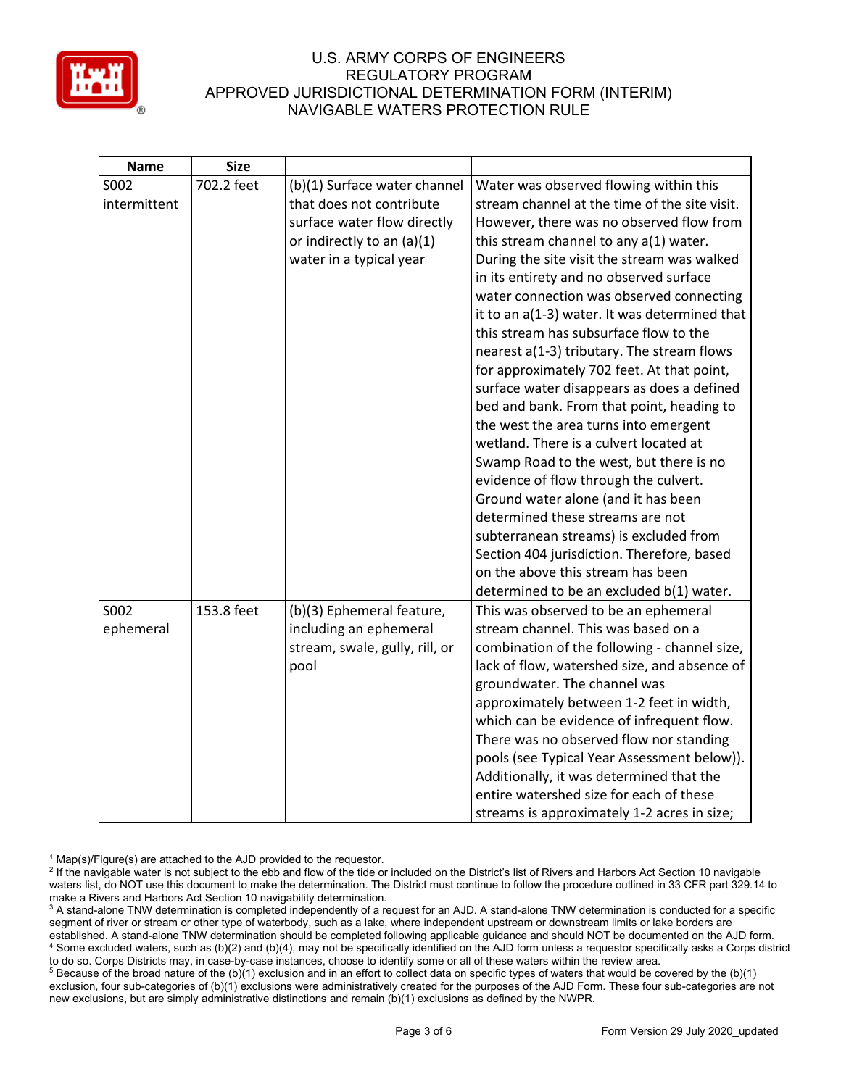

| <b>Name</b>  | <b>Size</b> |                                |                                               |
|--------------|-------------|--------------------------------|-----------------------------------------------|
| S002         | 702.2 feet  | (b)(1) Surface water channel   | Water was observed flowing within this        |
| intermittent |             | that does not contribute       | stream channel at the time of the site visit. |
|              |             | surface water flow directly    | However, there was no observed flow from      |
|              |             | or indirectly to an (a)(1)     | this stream channel to any a(1) water.        |
|              |             | water in a typical year        | During the site visit the stream was walked   |
|              |             |                                | in its entirety and no observed surface       |
|              |             |                                | water connection was observed connecting      |
|              |             |                                | it to an a(1-3) water. It was determined that |
|              |             |                                | this stream has subsurface flow to the        |
|              |             |                                | nearest a(1-3) tributary. The stream flows    |
|              |             |                                | for approximately 702 feet. At that point,    |
|              |             |                                | surface water disappears as does a defined    |
|              |             |                                | bed and bank. From that point, heading to     |
|              |             |                                | the west the area turns into emergent         |
|              |             |                                | wetland. There is a culvert located at        |
|              |             |                                | Swamp Road to the west, but there is no       |
|              |             |                                | evidence of flow through the culvert.         |
|              |             |                                | Ground water alone (and it has been           |
|              |             |                                | determined these streams are not              |
|              |             |                                | subterranean streams) is excluded from        |
|              |             |                                | Section 404 jurisdiction. Therefore, based    |
|              |             |                                | on the above this stream has been             |
|              |             |                                | determined to be an excluded b(1) water.      |
| S002         | 153.8 feet  | (b)(3) Ephemeral feature,      | This was observed to be an ephemeral          |
| ephemeral    |             | including an ephemeral         | stream channel. This was based on a           |
|              |             | stream, swale, gully, rill, or | combination of the following - channel size,  |
|              |             | pool                           | lack of flow, watershed size, and absence of  |
|              |             |                                | groundwater. The channel was                  |
|              |             |                                | approximately between 1-2 feet in width,      |
|              |             |                                | which can be evidence of infrequent flow.     |
|              |             |                                | There was no observed flow nor standing       |
|              |             |                                | pools (see Typical Year Assessment below)).   |
|              |             |                                | Additionally, it was determined that the      |
|              |             |                                | entire watershed size for each of these       |
|              |             |                                | streams is approximately 1-2 acres in size;   |

 $1$  Map(s)/Figure(s) are attached to the AJD provided to the requestor.

<sup>5</sup> Because of the broad nature of the (b)(1) exclusion and in an effort to collect data on specific types of waters that would be covered by the (b)(1) exclusion, four sub-categories of (b)(1) exclusions were administratively created for the purposes of the AJD Form. These four sub-categories are not new exclusions, but are simply administrative distinctions and remain (b)(1) exclusions as defined by the NWPR.

<sup>&</sup>lt;sup>2</sup> If the navigable water is not subject to the ebb and flow of the tide or included on the District's list of Rivers and Harbors Act Section 10 navigable waters list, do NOT use this document to make the determination. The District must continue to follow the procedure outlined in 33 CFR part 329.14 to make a Rivers and Harbors Act Section 10 navigability determination.

<sup>&</sup>lt;sup>3</sup> A stand-alone TNW determination is completed independently of a request for an AJD. A stand-alone TNW determination is conducted for a specific segment of river or stream or other type of waterbody, such as a lake, where independent upstream or downstream limits or lake borders are established. A stand-alone TNW determination should be completed following applicable guidance and should NOT be documented on the AJD form. <sup>4</sup> Some excluded waters, such as (b)(2) and (b)(4), may not be specifically identified on the AJD form unless a requestor specifically asks a Corps district to do so. Corps Districts may, in case-by-case instances, choose to identify some or all of these waters within the review area.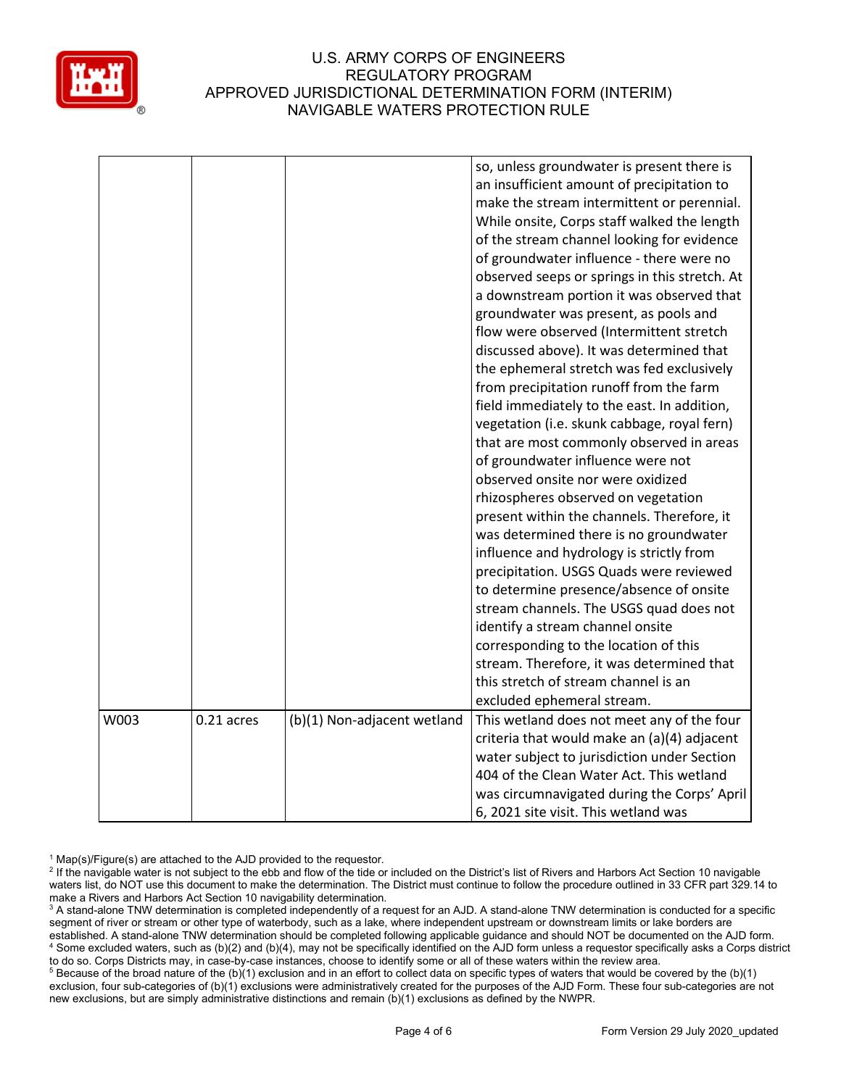

|      |            |                             | so, unless groundwater is present there is                                                |
|------|------------|-----------------------------|-------------------------------------------------------------------------------------------|
|      |            |                             | an insufficient amount of precipitation to                                                |
|      |            |                             | make the stream intermittent or perennial.                                                |
|      |            |                             | While onsite, Corps staff walked the length                                               |
|      |            |                             | of the stream channel looking for evidence                                                |
|      |            |                             | of groundwater influence - there were no                                                  |
|      |            |                             | observed seeps or springs in this stretch. At                                             |
|      |            |                             | a downstream portion it was observed that                                                 |
|      |            |                             |                                                                                           |
|      |            |                             | groundwater was present, as pools and                                                     |
|      |            |                             | flow were observed (Intermittent stretch                                                  |
|      |            |                             | discussed above). It was determined that                                                  |
|      |            |                             | the ephemeral stretch was fed exclusively                                                 |
|      |            |                             | from precipitation runoff from the farm                                                   |
|      |            |                             | field immediately to the east. In addition,                                               |
|      |            |                             | vegetation (i.e. skunk cabbage, royal fern)                                               |
|      |            |                             | that are most commonly observed in areas                                                  |
|      |            |                             | of groundwater influence were not                                                         |
|      |            |                             | observed onsite nor were oxidized                                                         |
|      |            |                             | rhizospheres observed on vegetation                                                       |
|      |            |                             | present within the channels. Therefore, it                                                |
|      |            |                             | was determined there is no groundwater                                                    |
|      |            |                             | influence and hydrology is strictly from                                                  |
|      |            |                             | precipitation. USGS Quads were reviewed                                                   |
|      |            |                             | to determine presence/absence of onsite                                                   |
|      |            |                             | stream channels. The USGS quad does not                                                   |
|      |            |                             | identify a stream channel onsite                                                          |
|      |            |                             | corresponding to the location of this                                                     |
|      |            |                             | stream. Therefore, it was determined that                                                 |
|      |            |                             | this stretch of stream channel is an                                                      |
|      |            |                             | excluded ephemeral stream.                                                                |
| W003 | 0.21 acres |                             |                                                                                           |
|      |            | (b)(1) Non-adjacent wetland | This wetland does not meet any of the four<br>criteria that would make an (a)(4) adjacent |
|      |            |                             |                                                                                           |
|      |            |                             | water subject to jurisdiction under Section                                               |
|      |            |                             | 404 of the Clean Water Act. This wetland                                                  |
|      |            |                             | was circumnavigated during the Corps' April                                               |
|      |            |                             | 6, 2021 site visit. This wetland was                                                      |

 $1$  Map(s)/Figure(s) are attached to the AJD provided to the requestor.

<sup>5</sup> Because of the broad nature of the (b)(1) exclusion and in an effort to collect data on specific types of waters that would be covered by the (b)(1) exclusion, four sub-categories of (b)(1) exclusions were administratively created for the purposes of the AJD Form. These four sub-categories are not new exclusions, but are simply administrative distinctions and remain (b)(1) exclusions as defined by the NWPR.

<sup>&</sup>lt;sup>2</sup> If the navigable water is not subject to the ebb and flow of the tide or included on the District's list of Rivers and Harbors Act Section 10 navigable waters list, do NOT use this document to make the determination. The District must continue to follow the procedure outlined in 33 CFR part 329.14 to make a Rivers and Harbors Act Section 10 navigability determination.

<sup>&</sup>lt;sup>3</sup> A stand-alone TNW determination is completed independently of a request for an AJD. A stand-alone TNW determination is conducted for a specific segment of river or stream or other type of waterbody, such as a lake, where independent upstream or downstream limits or lake borders are established. A stand-alone TNW determination should be completed following applicable guidance and should NOT be documented on the AJD form. <sup>4</sup> Some excluded waters, such as (b)(2) and (b)(4), may not be specifically identified on the AJD form unless a requestor specifically asks a Corps district to do so. Corps Districts may, in case-by-case instances, choose to identify some or all of these waters within the review area.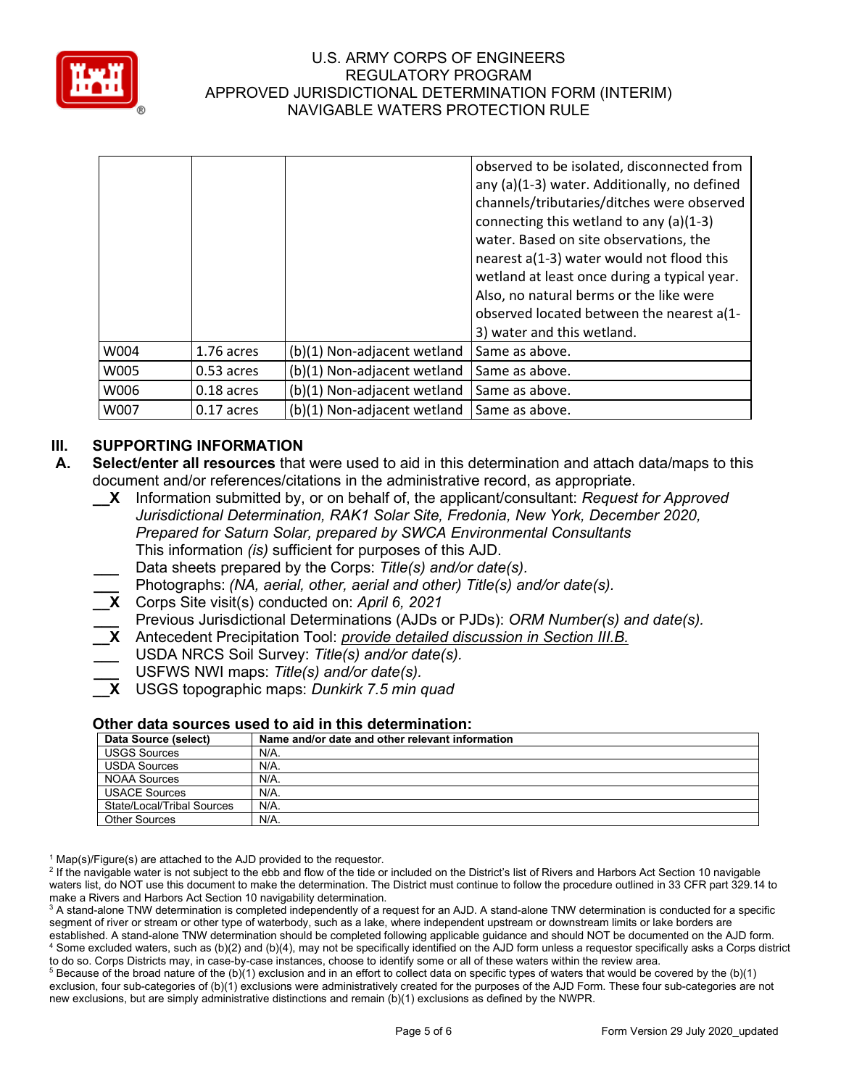

|      |            |                             | observed to be isolated, disconnected from<br>any (a)(1-3) water. Additionally, no defined<br>channels/tributaries/ditches were observed<br>connecting this wetland to any (a)(1-3)<br>water. Based on site observations, the<br>nearest a(1-3) water would not flood this<br>wetland at least once during a typical year.<br>Also, no natural berms or the like were<br>observed located between the nearest a(1-<br>3) water and this wetland. |
|------|------------|-----------------------------|--------------------------------------------------------------------------------------------------------------------------------------------------------------------------------------------------------------------------------------------------------------------------------------------------------------------------------------------------------------------------------------------------------------------------------------------------|
| W004 | 1.76 acres | (b)(1) Non-adjacent wetland | Same as above.                                                                                                                                                                                                                                                                                                                                                                                                                                   |
| W005 | 0.53 acres | (b)(1) Non-adjacent wetland | Same as above.                                                                                                                                                                                                                                                                                                                                                                                                                                   |
| W006 | 0.18 acres | (b)(1) Non-adjacent wetland | Same as above.                                                                                                                                                                                                                                                                                                                                                                                                                                   |
| W007 | 0.17 acres | (b)(1) Non-adjacent wetland | Same as above.                                                                                                                                                                                                                                                                                                                                                                                                                                   |

# **III. SUPPORTING INFORMATION**

- **A. Select/enter all resources** that were used to aid in this determination and attach data/maps to this document and/or references/citations in the administrative record, as appropriate.
	- **\_\_X** Information submitted by, or on behalf of, the applicant/consultant: *Request for Approved Jurisdictional Determination, RAK1 Solar Site, Fredonia, New York, December 2020, Prepared for Saturn Solar, prepared by SWCA Environmental Consultants* This information *(is)* sufficient for purposes of this AJD.
	- **\_\_\_** Data sheets prepared by the Corps: *Title(s) and/or date(s).*
	- **\_\_\_** Photographs: *(NA, aerial, other, aerial and other) Title(s) and/or date(s).*
	- **\_\_X** Corps Site visit(s) conducted on: *April 6, 2021*
	- **\_\_\_** Previous Jurisdictional Determinations (AJDs or PJDs): *ORM Number(s) and date(s).*
	- **\_\_X** Antecedent Precipitation Tool: *provide detailed discussion in Section III.B.*
	- **\_\_\_** USDA NRCS Soil Survey: *Title(s) and/or date(s).*
	- **\_\_\_** USFWS NWI maps: *Title(s) and/or date(s).*
	- **\_\_X** USGS topographic maps: *Dunkirk 7.5 min quad*

#### **Other data sources used to aid in this determination:**

| Data Source (select)       | Name and/or date and other relevant information |
|----------------------------|-------------------------------------------------|
| <b>USGS Sources</b>        | N/A.                                            |
| <b>USDA Sources</b>        | $N/A$ .                                         |
| NOAA Sources               | N/A.                                            |
| <b>USACE Sources</b>       | N/A.                                            |
| State/Local/Tribal Sources | N/A.                                            |
| <b>Other Sources</b>       | $N/A$ .                                         |

 $1$  Map(s)/Figure(s) are attached to the AJD provided to the requestor.

<sup>2</sup> If the navigable water is not subject to the ebb and flow of the tide or included on the District's list of Rivers and Harbors Act Section 10 navigable waters list, do NOT use this document to make the determination. The District must continue to follow the procedure outlined in 33 CFR part 329.14 to make a Rivers and Harbors Act Section 10 navigability determination.

<sup>3</sup> A stand-alone TNW determination is completed independently of a request for an AJD. A stand-alone TNW determination is conducted for a specific segment of river or stream or other type of waterbody, such as a lake, where independent upstream or downstream limits or lake borders are established. A stand-alone TNW determination should be completed following applicable guidance and should NOT be documented on the AJD form. <sup>4</sup> Some excluded waters, such as (b)(2) and (b)(4), may not be specifically identified on the AJD form unless a requestor specifically asks a Corps district to do so. Corps Districts may, in case-by-case instances, choose to identify some or all of these waters within the review area.

 $5$  Because of the broad nature of the (b)(1) exclusion and in an effort to collect data on specific types of waters that would be covered by the (b)(1) exclusion, four sub-categories of (b)(1) exclusions were administratively created for the purposes of the AJD Form. These four sub-categories are not new exclusions, but are simply administrative distinctions and remain (b)(1) exclusions as defined by the NWPR.